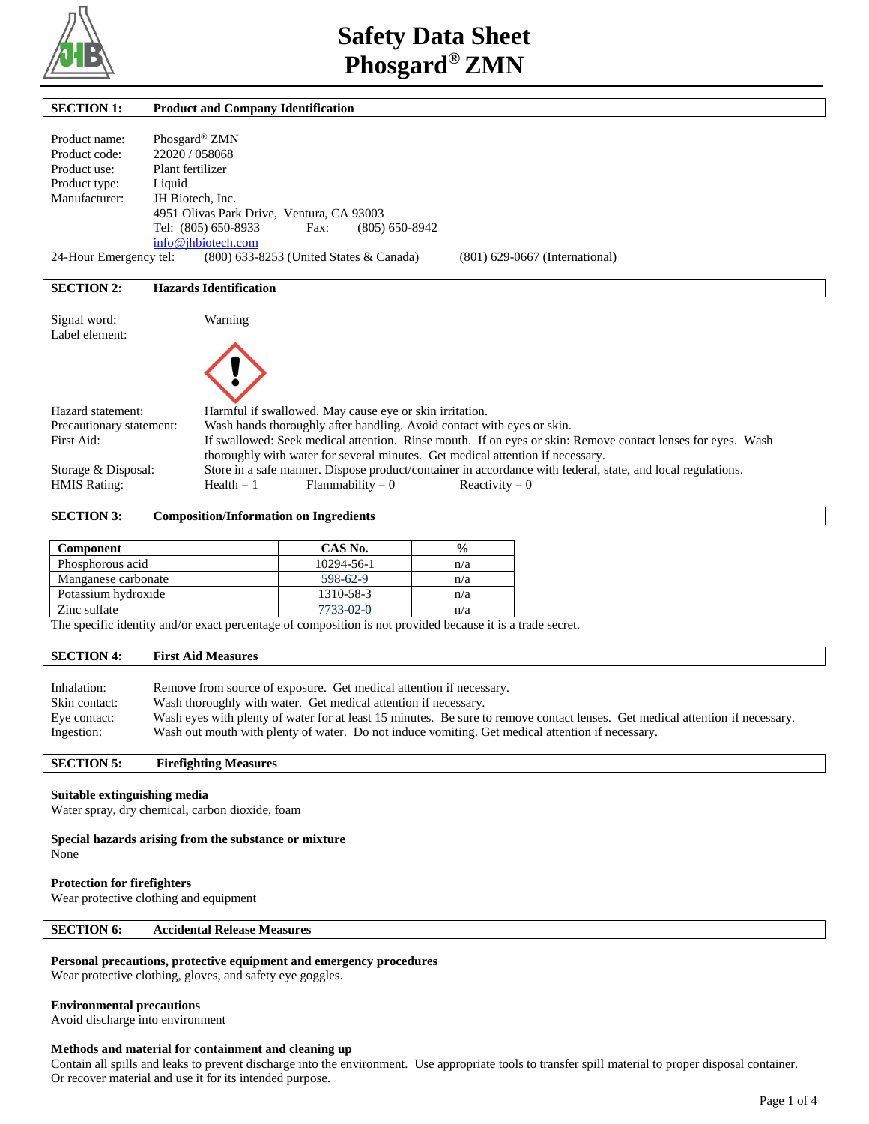

| <b>SECTION 1:</b>        | <b>Product and Company Identification</b>                                                                   |
|--------------------------|-------------------------------------------------------------------------------------------------------------|
|                          |                                                                                                             |
| Product name:            | Phosgard <sup>®</sup> ZMN                                                                                   |
| Product code:            | 22020 / 058068                                                                                              |
| Product use:             | Plant fertilizer                                                                                            |
| Product type:            | Liquid                                                                                                      |
| Manufacturer:            | JH Biotech, Inc.                                                                                            |
|                          | 4951 Olivas Park Drive, Ventura, CA 93003                                                                   |
|                          | Tel: (805) 650-8933<br>$(805)$ 650-8942<br>Fax:                                                             |
|                          | info@jhbiotech.com                                                                                          |
| 24-Hour Emergency tel:   | (800) 633-8253 (United States & Canada)<br>$(801)$ 629-0667 (International)                                 |
|                          |                                                                                                             |
| <b>SECTION 2:</b>        | <b>Hazards Identification</b>                                                                               |
|                          |                                                                                                             |
| Signal word:             | Warning                                                                                                     |
| Label element:           |                                                                                                             |
|                          |                                                                                                             |
|                          |                                                                                                             |
|                          |                                                                                                             |
|                          |                                                                                                             |
| Hazard statement:        | Harmful if swallowed. May cause eye or skin irritation.                                                     |
| Precautionary statement: | Wash hands thoroughly after handling. Avoid contact with eyes or skin.                                      |
| First Aid:               | If swallowed: Seek medical attention. Rinse mouth. If on eyes or skin: Remove contact lenses for eyes. Wash |
|                          | thoroughly with water for several minutes. Get medical attention if necessary.                              |
| Storage & Disposal:      | Store in a safe manner. Dispose product/container in accordance with federal, state, and local regulations. |
| <b>HMIS Rating:</b>      | $Flammability = 0$<br>$Health = 1$<br>Reactivity = $0$                                                      |

#### **SECTION 3: Composition/Information on Ingredients**

| Component           | CAS No.         | $\frac{0}{0}$ |
|---------------------|-----------------|---------------|
| Phosphorous acid    | 10294-56-1      | n/a           |
| Manganese carbonate | 598-62-9        | n/a           |
| Potassium hydroxide | 1310-58-3       | n/a           |
| Zinc sulfate        | $7733 - 02 - 0$ | n/a           |

The specific identity and/or exact percentage of composition is not provided because it is a trade secret.

## **SECTION 4: First Aid Measures**

| Inhalation:   | Remove from source of exposure. Get medical attention if necessary.                                                           |
|---------------|-------------------------------------------------------------------------------------------------------------------------------|
| Skin contact: | Wash thoroughly with water. Get medical attention if necessary.                                                               |
| Eye contact:  | Wash eyes with plenty of water for at least 15 minutes. Be sure to remove contact lenses. Get medical attention if necessary. |
| Ingestion:    | Wash out mouth with plenty of water. Do not induce vomiting. Get medical attention if necessary.                              |

# **SECTION 5: Firefighting Measures**

# **Suitable extinguishing media**

Water spray, dry chemical, carbon dioxide, foam

#### **Special hazards arising from the substance or mixture**

None

#### **Protection for firefighters**

Wear protective clothing and equipment

## **SECTION 6: Accidental Release Measures**

#### **Personal precautions, protective equipment and emergency procedures**

Wear protective clothing, gloves, and safety eye goggles.

## **Environmental precautions**

Avoid discharge into environment

#### **Methods and material for containment and cleaning up**

Contain all spills and leaks to prevent discharge into the environment. Use appropriate tools to transfer spill material to proper disposal container. Or recover material and use it for its intended purpose.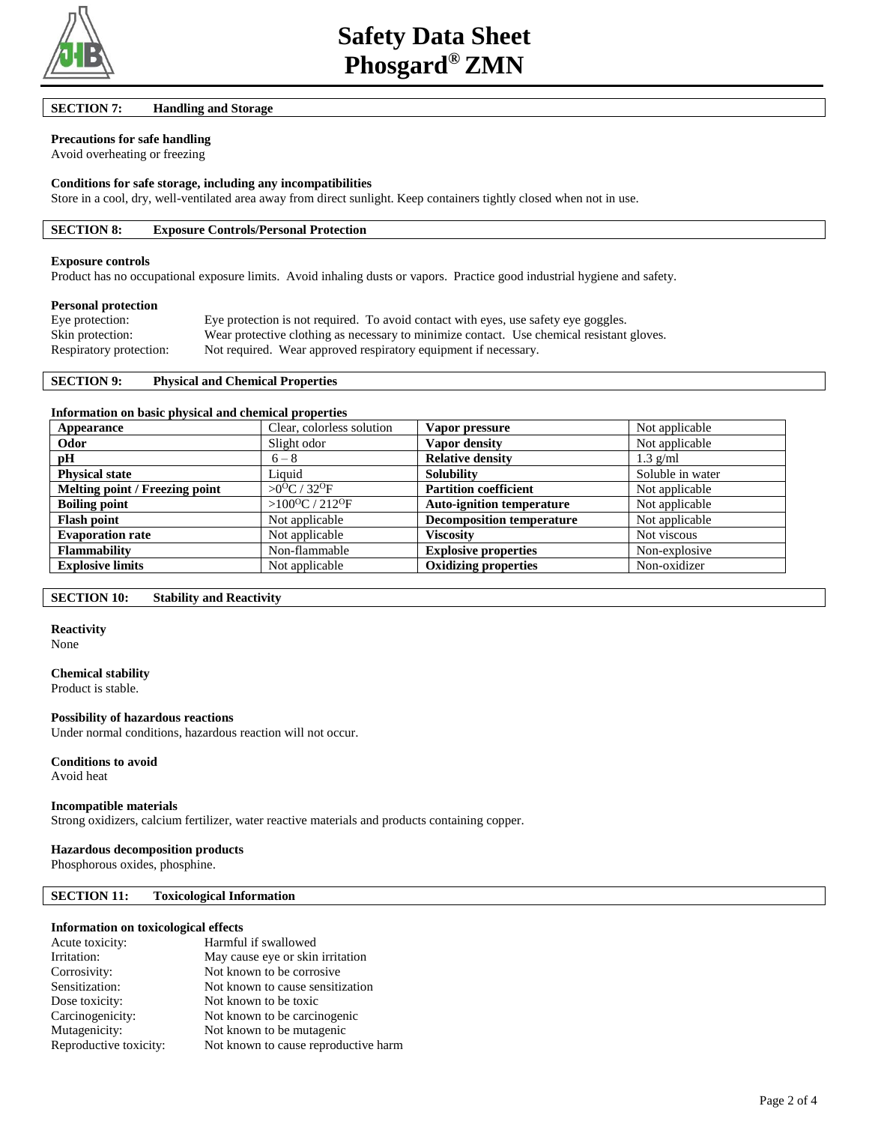

# **SECTION 7: Handling and Storage**

# **Precautions for safe handling**

Avoid overheating or freezing

#### **Conditions for safe storage, including any incompatibilities**

Store in a cool, dry, well-ventilated area away from direct sunlight. Keep containers tightly closed when not in use.

## **SECTION 8: Exposure Controls/Personal Protection**

#### **Exposure controls**

Product has no occupational exposure limits. Avoid inhaling dusts or vapors. Practice good industrial hygiene and safety.

#### **Personal protection**

| Eye protection:         | Eye protection is not required. To avoid contact with eyes, use safety eye goggles.       |
|-------------------------|-------------------------------------------------------------------------------------------|
| Skin protection:        | Wear protective clothing as necessary to minimize contact. Use chemical resistant gloves. |
| Respiratory protection: | Not required. Wear approved respiratory equipment if necessary.                           |

#### **SECTION 9: Physical and Chemical Properties**

#### **Information on basic physical and chemical properties**

| Appearance                     | Clear, colorless solution               | Vapor pressure                   | Not applicable   |
|--------------------------------|-----------------------------------------|----------------------------------|------------------|
| Odor                           | Slight odor                             | Vapor density                    | Not applicable   |
| pH                             | $6 - 8$                                 | <b>Relative density</b>          | $1.3$ g/ml       |
| <b>Physical state</b>          | Liquid                                  | <b>Solubility</b>                | Soluble in water |
| Melting point / Freezing point | $>0$ <sup>O</sup> C / 32 <sup>O</sup> F | <b>Partition coefficient</b>     | Not applicable   |
| <b>Boiling point</b>           | > $100^{\circ}$ C / 212 <sup>o</sup> F  | <b>Auto-ignition temperature</b> | Not applicable   |
| <b>Flash point</b>             | Not applicable                          | <b>Decomposition temperature</b> | Not applicable   |
| <b>Evaporation rate</b>        | Not applicable                          | Viscositv                        | Not viscous      |
| <b>Flammability</b>            | Non-flammable                           | <b>Explosive properties</b>      | Non-explosive    |
| <b>Explosive limits</b>        | Not applicable                          | <b>Oxidizing properties</b>      | Non-oxidizer     |

#### **SECTION 10: Stability and Reactivity**

#### **Reactivity**

None

#### **Chemical stability**

Product is stable.

## **Possibility of hazardous reactions**

Under normal conditions, hazardous reaction will not occur.

#### **Conditions to avoid**

Avoid heat

## **Incompatible materials**

Strong oxidizers, calcium fertilizer, water reactive materials and products containing copper.

#### **Hazardous decomposition products**

Phosphorous oxides, phosphine.

## **SECTION 11: Toxicological Information**

#### **Information on toxicological effects**

| Harmful if swallowed                 |
|--------------------------------------|
| May cause eye or skin irritation     |
| Not known to be corrosive            |
| Not known to cause sensitization     |
| Not known to be toxic                |
| Not known to be carcinogenic         |
| Not known to be mutagenic            |
| Not known to cause reproductive harm |
|                                      |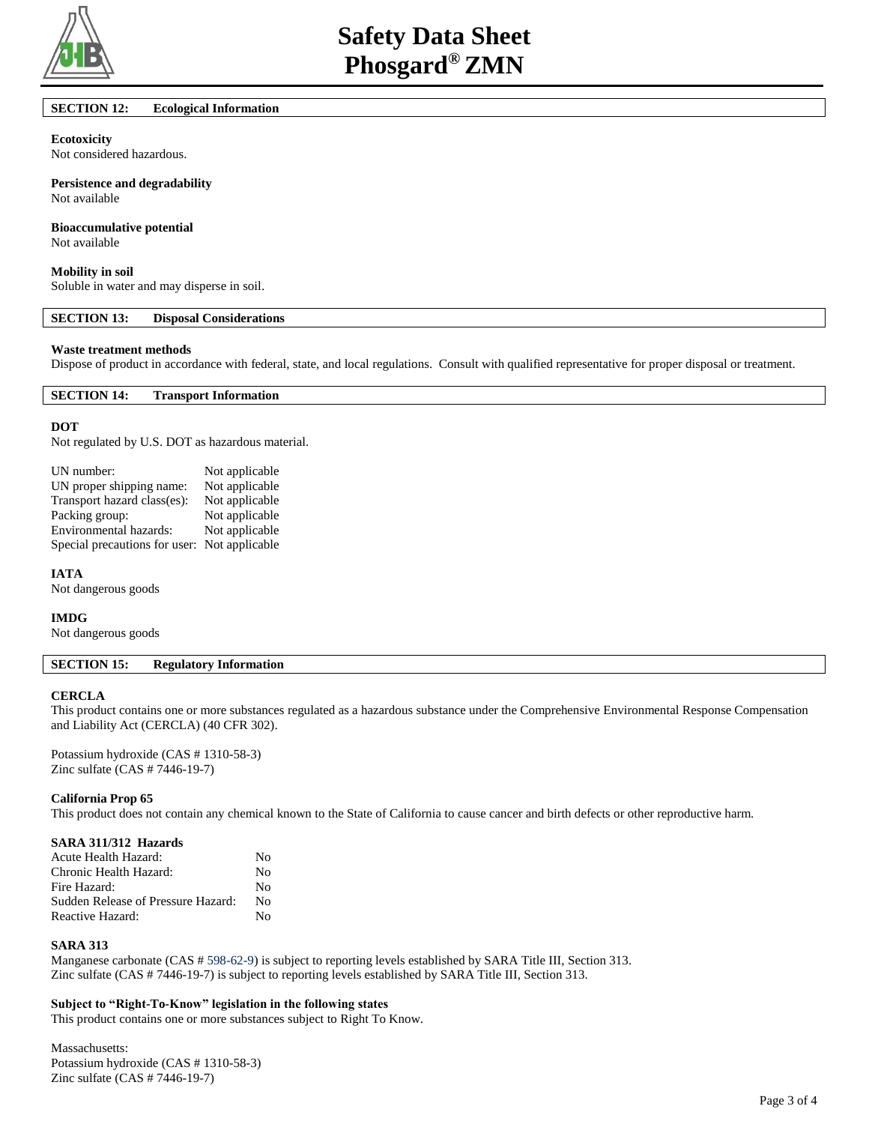

## **SECTION 12: Ecological Information**

#### **Ecotoxicity**

Not considered hazardous.

**Persistence and degradability**

# Not available

## **Bioaccumulative potential**

Not available

#### **Mobility in soil**

Soluble in water and may disperse in soil.

## **SECTION 13: Disposal Considerations**

# **Waste treatment methods**

Dispose of product in accordance with federal, state, and local regulations. Consult with qualified representative for proper disposal or treatment.

## **SECTION 14: Transport Information**

#### **DOT**

Not regulated by U.S. DOT as hazardous material.

| UN number:                    | Not applicable |
|-------------------------------|----------------|
| UN proper shipping name:      | Not applicable |
| Transport hazard class(es):   | Not applicable |
| Packing group:                | Not applicable |
| Environmental hazards:        | Not applicable |
| Special precautions for user: | Not applicable |

#### **IATA**

Not dangerous goods

#### **IMDG**

Not dangerous goods

## **SECTION 15: Regulatory Information**

#### **CERCLA**

This product contains one or more substances regulated as a hazardous substance under the Comprehensive Environmental Response Compensation and Liability Act (CERCLA) (40 CFR 302).

Potassium hydroxide (CAS # 1310-58-3) Zinc sulfate (CAS # 7446-19-7)

#### **California Prop 65**

This product does not contain any chemical known to the State of California to cause cancer and birth defects or other reproductive harm.

## **SARA 311/312 Hazards**

| Acute Health Hazard:               | No |
|------------------------------------|----|
| Chronic Health Hazard:             | No |
| Fire Hazard:                       | No |
| Sudden Release of Pressure Hazard: | No |
| Reactive Hazard:                   | No |

## **SARA 313**

Manganese carbonate (CAS # 598-62-9) is subject to reporting levels established by SARA Title III, Section 313. Zinc sulfate (CAS # 7446-19-7) is subject to reporting levels established by SARA Title III, Section 313.

#### **Subject to "Right-To-Know" legislation in the following states**

This product contains one or more substances subject to Right To Know.

Massachusetts: Potassium hydroxide (CAS # 1310-58-3) Zinc sulfate (CAS # 7446-19-7)